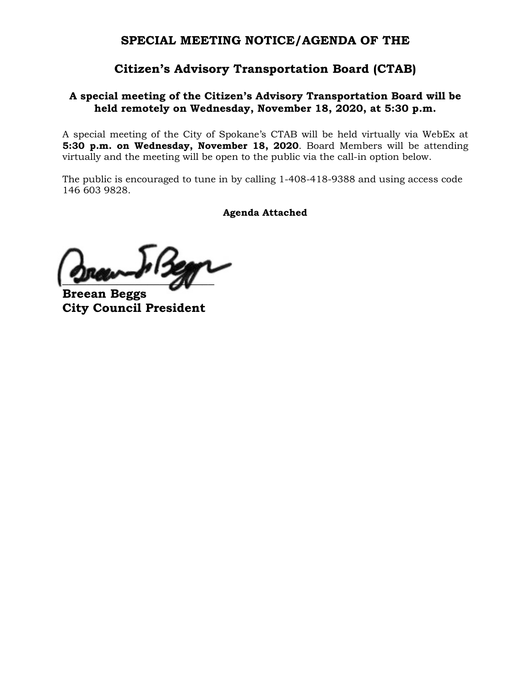# **SPECIAL MEETING NOTICE/AGENDA OF THE**

# **Citizen's Advisory Transportation Board (CTAB)**

## **A special meeting of the Citizen's Advisory Transportation Board will be held remotely on Wednesday, November 18, 2020, at 5:30 p.m.**

A special meeting of the City of Spokane's CTAB will be held virtually via WebEx at **5:30 p.m. on Wednesday, November 18, 2020**. Board Members will be attending virtually and the meeting will be open to the public via the call-in option below.

The public is encouraged to tune in by calling 1-408-418-9388 and using access code 146 603 9828.

**Agenda Attached**

 $\mathcal{L}$ 

**Breean Beggs City Council President**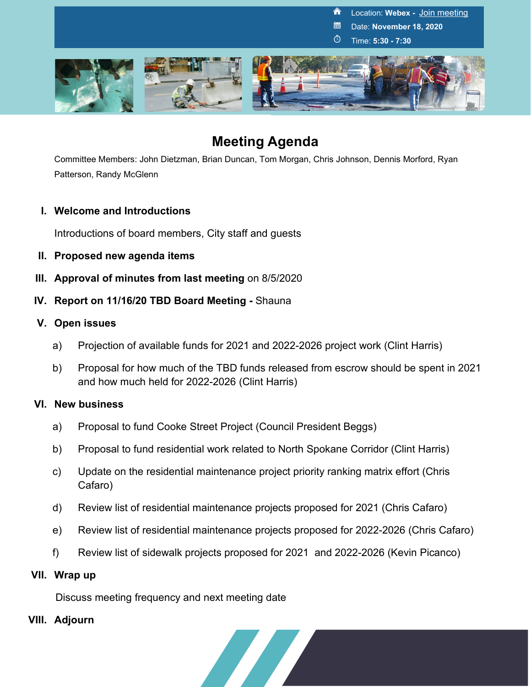

# **Meeting Agenda**

Committee Members: John Dietzman, Brian Duncan, Tom Morgan, Chris Johnson, Dennis Morford, Ryan Patterson, Randy McGlenn

## **I. Welcome and Introductions**

Introductions of board members, City staff and guests

- **II. Proposed new agenda items**
- **III. Approval of minutes from last meeting on 8/5/2020**
- **IV. Report on 11/16/20 TBD Board Meeting -** Shauna

## **V. Open issues**

- a) Projection of available funds for 2021 and 2022-2026 project work (Clint Harris)
- b) Proposal for how much of the TBD funds released from escrow should be spent in 2021 and how much held for 2022-2026 (Clint Harris)

## **VI. New business**

- a) Proposal to fund Cooke Street Project (Council President Beggs)
- b) Proposal to fund residential work related to North Spokane Corridor (Clint Harris)
- c) Update on the residential maintenance project priority ranking matrix effort (Chris Cafaro)
- d) Review list of residential maintenance projects proposed for 2021 (Chris Cafaro)
- e) Review list of residential maintenance projects proposed for 2022-2026 (Chris Cafaro)
- f) Review list of sidewalk projects proposed for 2021 and 2022-2026 (Kevin Picanco)

## **VII. Wrap up**

Discuss meeting frequency and next meeting date

## **VIII. Adjourn**

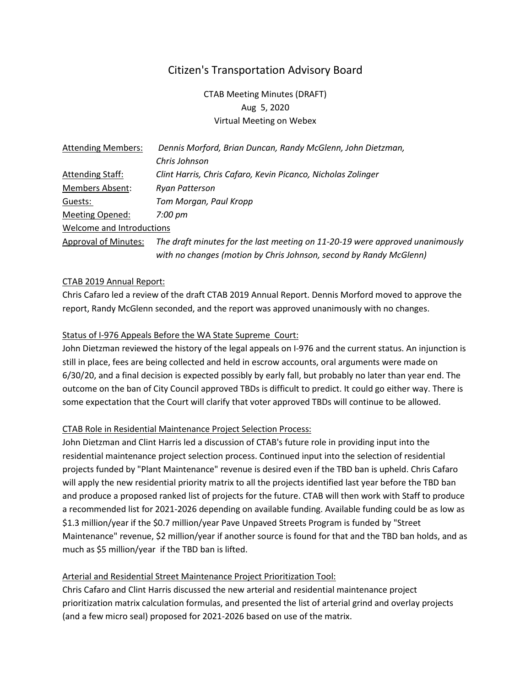# Citizen's Transportation Advisory Board

CTAB Meeting Minutes (DRAFT) Aug 5, 2020 Virtual Meeting on Webex

| <b>Attending Members:</b>   | Dennis Morford, Brian Duncan, Randy McGlenn, John Dietzman,                  |
|-----------------------------|------------------------------------------------------------------------------|
|                             | Chris Johnson                                                                |
| <b>Attending Staff:</b>     | Clint Harris, Chris Cafaro, Kevin Picanco, Nicholas Zolinger                 |
| Members Absent:             | Ryan Patterson                                                               |
| Guests:                     | Tom Morgan, Paul Kropp                                                       |
| Meeting Opened:             | 7:00 pm                                                                      |
| Welcome and Introductions   |                                                                              |
| <b>Approval of Minutes:</b> | The draft minutes for the last meeting on 11-20-19 were approved unanimously |
|                             | with no changes (motion by Chris Johnson, second by Randy McGlenn)           |

#### CTAB 2019 Annual Report:

Chris Cafaro led a review of the draft CTAB 2019 Annual Report. Dennis Morford moved to approve the report, Randy McGlenn seconded, and the report was approved unanimously with no changes.

#### Status of I-976 Appeals Before the WA State Supreme Court:

John Dietzman reviewed the history of the legal appeals on I-976 and the current status. An injunction is still in place, fees are being collected and held in escrow accounts, oral arguments were made on 6/30/20, and a final decision is expected possibly by early fall, but probably no later than year end. The outcome on the ban of City Council approved TBDs is difficult to predict. It could go either way. There is some expectation that the Court will clarify that voter approved TBDs will continue to be allowed.

#### CTAB Role in Residential Maintenance Project Selection Process:

John Dietzman and Clint Harris led a discussion of CTAB's future role in providing input into the residential maintenance project selection process. Continued input into the selection of residential projects funded by "Plant Maintenance" revenue is desired even if the TBD ban is upheld. Chris Cafaro will apply the new residential priority matrix to all the projects identified last year before the TBD ban and produce a proposed ranked list of projects for the future. CTAB will then work with Staff to produce a recommended list for 2021-2026 depending on available funding. Available funding could be as low as \$1.3 million/year if the \$0.7 million/year Pave Unpaved Streets Program is funded by "Street Maintenance" revenue, \$2 million/year if another source is found for that and the TBD ban holds, and as much as \$5 million/year if the TBD ban is lifted.

#### Arterial and Residential Street Maintenance Project Prioritization Tool:

Chris Cafaro and Clint Harris discussed the new arterial and residential maintenance project prioritization matrix calculation formulas, and presented the list of arterial grind and overlay projects (and a few micro seal) proposed for 2021-2026 based on use of the matrix.